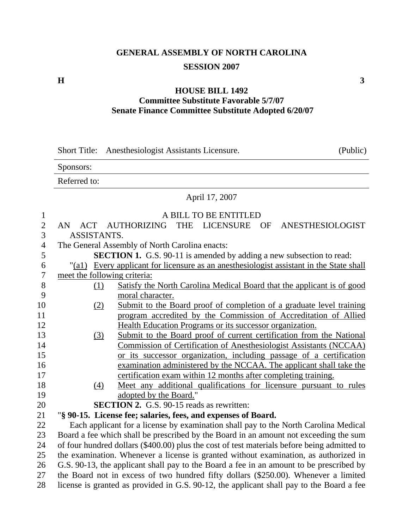## **GENERAL ASSEMBLY OF NORTH CAROLINA SESSION 2007**

## **H**  $\overline{\phantom{a}}$  3

## **HOUSE BILL 1492 Committee Substitute Favorable 5/7/07 Senate Finance Committee Substitute Adopted 6/20/07**

|                                  |                                                                                             | (Public)<br>Short Title: Anesthesiologist Assistants Licensure.                     |  |  |
|----------------------------------|---------------------------------------------------------------------------------------------|-------------------------------------------------------------------------------------|--|--|
|                                  | Sponsors:                                                                                   |                                                                                     |  |  |
|                                  | Referred to:                                                                                |                                                                                     |  |  |
|                                  | April 17, 2007                                                                              |                                                                                     |  |  |
| $\mathbf{1}$                     |                                                                                             | A BILL TO BE ENTITLED                                                               |  |  |
| $\overline{c}$<br>$\overline{3}$ | <b>ACT</b><br>AN<br>ASSISTANTS.                                                             | AUTHORIZING<br>THE LICENSURE<br>OF<br>ANESTHESIOLOGIST                              |  |  |
| $\overline{\mathcal{A}}$         |                                                                                             | The General Assembly of North Carolina enacts:                                      |  |  |
| 5                                |                                                                                             | <b>SECTION 1.</b> G.S. 90-11 is amended by adding a new subsection to read:         |  |  |
| 6                                | "(a1)                                                                                       | Every applicant for licensure as an anesthesiologist assistant in the State shall   |  |  |
| $\overline{7}$                   | meet the following criteria:                                                                |                                                                                     |  |  |
| $8\,$                            | (1)                                                                                         | Satisfy the North Carolina Medical Board that the applicant is of good              |  |  |
| 9                                |                                                                                             | moral character.                                                                    |  |  |
| 10                               | (2)                                                                                         | Submit to the Board proof of completion of a graduate level training                |  |  |
| 11                               |                                                                                             | program accredited by the Commission of Accreditation of Allied                     |  |  |
| 12                               |                                                                                             | Health Education Programs or its successor organization.                            |  |  |
| 13                               | (3)                                                                                         | Submit to the Board proof of current certification from the National                |  |  |
| 14                               |                                                                                             | Commission of Certification of Anesthesiologist Assistants (NCCAA)                  |  |  |
| 15                               |                                                                                             | or its successor organization, including passage of a certification                 |  |  |
| 16                               |                                                                                             | examination administered by the NCCAA. The applicant shall take the                 |  |  |
| 17                               |                                                                                             | certification exam within 12 months after completing training.                      |  |  |
| 18<br>19                         | (4)                                                                                         | Meet any additional qualifications for licensure pursuant to rules                  |  |  |
| 20                               |                                                                                             | adopted by the Board."<br><b>SECTION 2.</b> G.S. 90-15 reads as rewritten:          |  |  |
| 21                               |                                                                                             | "§ 90-15. License fee; salaries, fees, and expenses of Board.                       |  |  |
| 22                               |                                                                                             | Each applicant for a license by examination shall pay to the North Carolina Medical |  |  |
| 23                               | Board a fee which shall be prescribed by the Board in an amount not exceeding the sum       |                                                                                     |  |  |
| 24                               | of four hundred dollars (\$400.00) plus the cost of test materials before being admitted to |                                                                                     |  |  |
| 25                               | the examination. Whenever a license is granted without examination, as authorized in        |                                                                                     |  |  |
| 26                               | G.S. 90-13, the applicant shall pay to the Board a fee in an amount to be prescribed by     |                                                                                     |  |  |
| 27                               | the Board not in excess of two hundred fifty dollars (\$250.00). Whenever a limited         |                                                                                     |  |  |

28 license is granted as provided in G.S. 90-12, the applicant shall pay to the Board a fee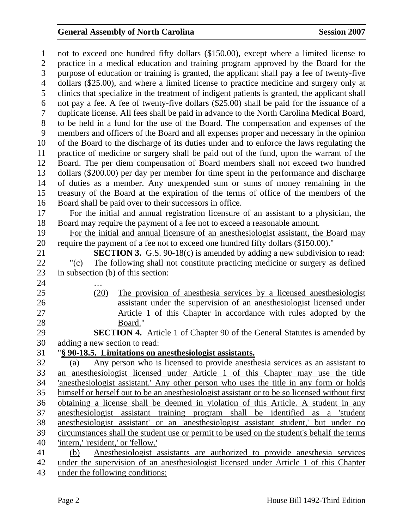## General Assembly of North Carolina **Session 2007**

1 not to exceed one hundred fifty dollars (\$150.00), except where a limited license to 2 practice in a medical education and training program approved by the Board for the 3 purpose of education or training is granted, the applicant shall pay a fee of twenty-five 4 dollars (\$25.00), and where a limited license to practice medicine and surgery only at 5 clinics that specialize in the treatment of indigent patients is granted, the applicant shall 6 not pay a fee. A fee of twenty-five dollars (\$25.00) shall be paid for the issuance of a 7 duplicate license. All fees shall be paid in advance to the North Carolina Medical Board, 8 to be held in a fund for the use of the Board. The compensation and expenses of the 9 members and officers of the Board and all expenses proper and necessary in the opinion 10 of the Board to the discharge of its duties under and to enforce the laws regulating the 11 practice of medicine or surgery shall be paid out of the fund, upon the warrant of the 12 Board. The per diem compensation of Board members shall not exceed two hundred 13 dollars (\$200.00) per day per member for time spent in the performance and discharge 14 of duties as a member. Any unexpended sum or sums of money remaining in the 15 treasury of the Board at the expiration of the terms of office of the members of the 16 Board shall be paid over to their successors in office. 17 For the initial and annual registration licensure of an assistant to a physician, the 18 Board may require the payment of a fee not to exceed a reasonable amount. 19 For the initial and annual licensure of an anesthesiologist assistant, the Board may 20 require the payment of a fee not to exceed one hundred fifty dollars (\$150.00)." 21 **SECTION 3.** G.S. 90-18(c) is amended by adding a new subdivision to read: 22 "(c) The following shall not constitute practicing medicine or surgery as defined 23 in subsection (b) of this section: 24 … 25 (20) The provision of anesthesia services by a licensed anesthesiologist 26 assistant under the supervision of an anesthesiologist licensed under 27 Article 1 of this Chapter in accordance with rules adopted by the 28 Board." 29 **SECTION 4.** Article 1 of Chapter 90 of the General Statutes is amended by 30 adding a new section to read: 31 "**§ 90-18.5. Limitations on anesthesiologist assistants.** 32 (a) Any person who is licensed to provide anesthesia services as an assistant to 33 an anesthesiologist licensed under Article 1 of this Chapter may use the title 34 'anesthesiologist assistant.' Any other person who uses the title in any form or holds 35 himself or herself out to be an anesthesiologist assistant or to be so licensed without first 36 obtaining a license shall be deemed in violation of this Article. A student in any 37 anesthesiologist assistant training program shall be identified as a 'student 38 anesthesiologist assistant' or an 'anesthesiologist assistant student,' but under no 39 circumstances shall the student use or permit to be used on the student's behalf the terms 40 'intern,' 'resident,' or 'fellow.' 41 (b) Anesthesiologist assistants are authorized to provide anesthesia services 42 under the supervision of an anesthesiologist licensed under Article 1 of this Chapter 43 under the following conditions: